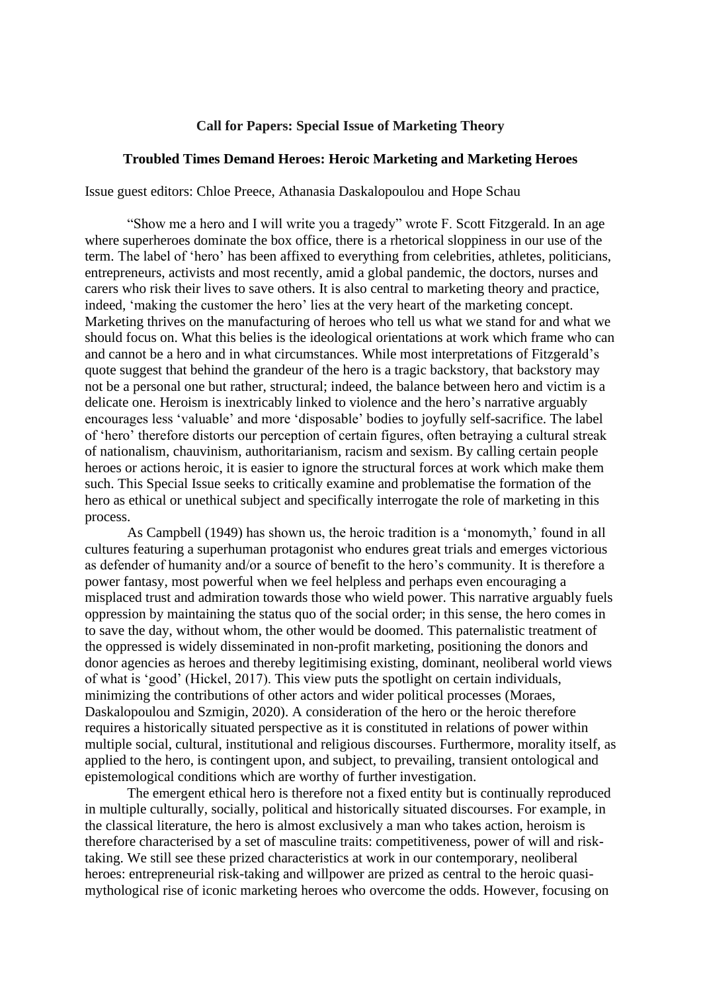## **Call for Papers: Special Issue of Marketing Theory**

## **Troubled Times Demand Heroes: Heroic Marketing and Marketing Heroes**

Issue guest editors: Chloe Preece, Athanasia Daskalopoulou and Hope Schau

"Show me a hero and I will write you a tragedy" wrote F. Scott Fitzgerald. In an age where superheroes dominate the box office, there is a rhetorical sloppiness in our use of the term. The label of 'hero' has been affixed to everything from celebrities, athletes, politicians, entrepreneurs, activists and most recently, amid a global pandemic, the doctors, nurses and carers who risk their lives to save others. It is also central to marketing theory and practice, indeed, 'making the customer the hero' lies at the very heart of the marketing concept. Marketing thrives on the manufacturing of heroes who tell us what we stand for and what we should focus on. What this belies is the ideological orientations at work which frame who can and cannot be a hero and in what circumstances. While most interpretations of Fitzgerald's quote suggest that behind the grandeur of the hero is a tragic backstory, that backstory may not be a personal one but rather, structural; indeed, the balance between hero and victim is a delicate one. Heroism is inextricably linked to violence and the hero's narrative arguably encourages less 'valuable' and more 'disposable' bodies to joyfully self-sacrifice. The label of 'hero' therefore distorts our perception of certain figures, often betraying a cultural streak of nationalism, chauvinism, authoritarianism, racism and sexism. By calling certain people heroes or actions heroic, it is easier to ignore the structural forces at work which make them such. This Special Issue seeks to critically examine and problematise the formation of the hero as ethical or unethical subject and specifically interrogate the role of marketing in this process.

As Campbell (1949) has shown us, the heroic tradition is a 'monomyth,' found in all cultures featuring a superhuman protagonist who endures great trials and emerges victorious as defender of humanity and/or a source of benefit to the hero's community. It is therefore a power fantasy, most powerful when we feel helpless and perhaps even encouraging a misplaced trust and admiration towards those who wield power. This narrative arguably fuels oppression by maintaining the status quo of the social order; in this sense, the hero comes in to save the day, without whom, the other would be doomed. This paternalistic treatment of the oppressed is widely disseminated in non-profit marketing, positioning the donors and donor agencies as heroes and thereby legitimising existing, dominant, neoliberal world views of what is 'good' (Hickel, 2017). This view puts the spotlight on certain individuals, minimizing the contributions of other actors and wider political processes (Moraes, Daskalopoulou and Szmigin, 2020). A consideration of the hero or the heroic therefore requires a historically situated perspective as it is constituted in relations of power within multiple social, cultural, institutional and religious discourses. Furthermore, morality itself, as applied to the hero, is contingent upon, and subject, to prevailing, transient ontological and epistemological conditions which are worthy of further investigation.

The emergent ethical hero is therefore not a fixed entity but is continually reproduced in multiple culturally, socially, political and historically situated discourses. For example, in the classical literature, the hero is almost exclusively a man who takes action, heroism is therefore characterised by a set of masculine traits: competitiveness, power of will and risktaking. We still see these prized characteristics at work in our contemporary, neoliberal heroes: entrepreneurial risk-taking and willpower are prized as central to the heroic quasimythological rise of iconic marketing heroes who overcome the odds. However, focusing on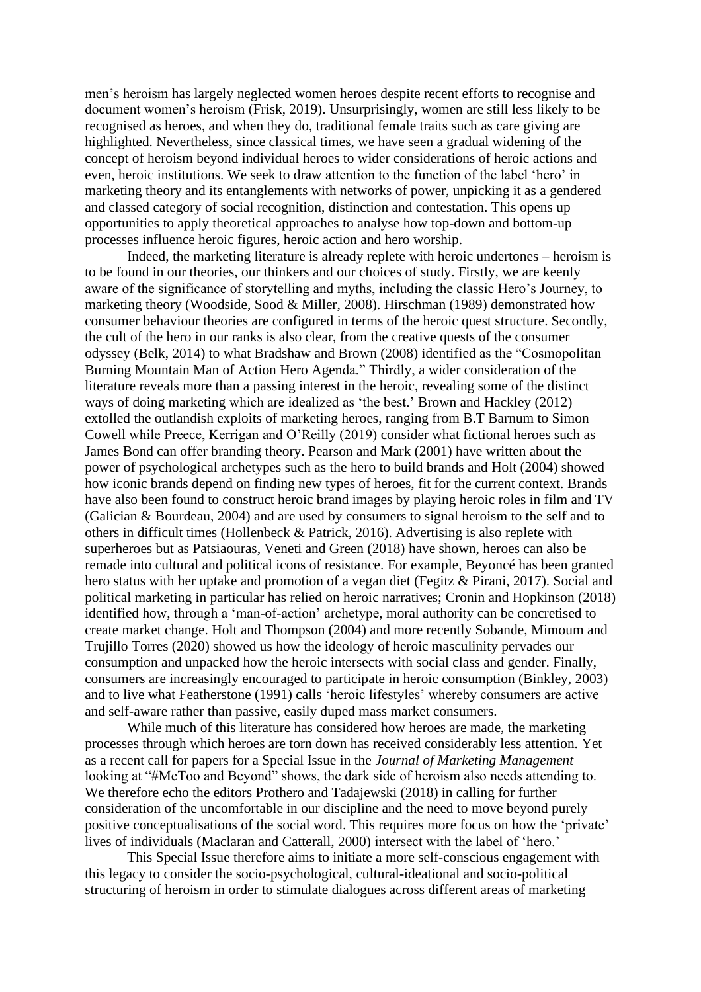men's heroism has largely neglected women heroes despite recent efforts to recognise and document women's heroism (Frisk, 2019). Unsurprisingly, women are still less likely to be recognised as heroes, and when they do, traditional female traits such as care giving are highlighted. Nevertheless, since classical times, we have seen a gradual widening of the concept of heroism beyond individual heroes to wider considerations of heroic actions and even, heroic institutions. We seek to draw attention to the function of the label 'hero' in marketing theory and its entanglements with networks of power, unpicking it as a gendered and classed category of social recognition, distinction and contestation. This opens up opportunities to apply theoretical approaches to analyse how top-down and bottom-up processes influence heroic figures, heroic action and hero worship.

Indeed, the marketing literature is already replete with heroic undertones – heroism is to be found in our theories, our thinkers and our choices of study. Firstly, we are keenly aware of the significance of storytelling and myths, including the classic Hero's Journey, to marketing theory (Woodside, Sood & Miller, 2008). Hirschman (1989) demonstrated how consumer behaviour theories are configured in terms of the heroic quest structure. Secondly, the cult of the hero in our ranks is also clear, from the creative quests of the consumer odyssey (Belk, 2014) to what Bradshaw and Brown (2008) identified as the "Cosmopolitan Burning Mountain Man of Action Hero Agenda." Thirdly, a wider consideration of the literature reveals more than a passing interest in the heroic, revealing some of the distinct ways of doing marketing which are idealized as 'the best.' Brown and Hackley (2012) extolled the outlandish exploits of marketing heroes, ranging from B.T Barnum to Simon Cowell while Preece, Kerrigan and O'Reilly (2019) consider what fictional heroes such as James Bond can offer branding theory. Pearson and Mark (2001) have written about the power of psychological archetypes such as the hero to build brands and Holt (2004) showed how iconic brands depend on finding new types of heroes, fit for the current context. Brands have also been found to construct heroic brand images by playing heroic roles in film and TV (Galician & Bourdeau, 2004) and are used by consumers to signal heroism to the self and to others in difficult times (Hollenbeck & Patrick, 2016). Advertising is also replete with superheroes but as Patsiaouras, Veneti and Green (2018) have shown, heroes can also be remade into cultural and political icons of resistance. For example, Beyoncé has been granted hero status with her uptake and promotion of a vegan diet (Fegitz & Pirani, 2017). Social and political marketing in particular has relied on heroic narratives; Cronin and Hopkinson (2018) identified how, through a 'man-of-action' archetype, moral authority can be concretised to create market change. Holt and Thompson (2004) and more recently Sobande, Mimoum and Trujillo Torres (2020) showed us how the ideology of heroic masculinity pervades our consumption and unpacked how the heroic intersects with social class and gender. Finally, consumers are increasingly encouraged to participate in heroic consumption (Binkley, 2003) and to live what Featherstone (1991) calls 'heroic lifestyles' whereby consumers are active and self-aware rather than passive, easily duped mass market consumers.

While much of this literature has considered how heroes are made, the marketing processes through which heroes are torn down has received considerably less attention. Yet as a recent call for papers for a Special Issue in the *Journal of Marketing Management* looking at "#MeToo and Beyond" shows, the dark side of heroism also needs attending to. We therefore echo the editors Prothero and Tadajewski (2018) in calling for further consideration of the uncomfortable in our discipline and the need to move beyond purely positive conceptualisations of the social word. This requires more focus on how the 'private' lives of individuals (Maclaran and Catterall, 2000) intersect with the label of 'hero.'

This Special Issue therefore aims to initiate a more self-conscious engagement with this legacy to consider the socio-psychological, cultural-ideational and socio-political structuring of heroism in order to stimulate dialogues across different areas of marketing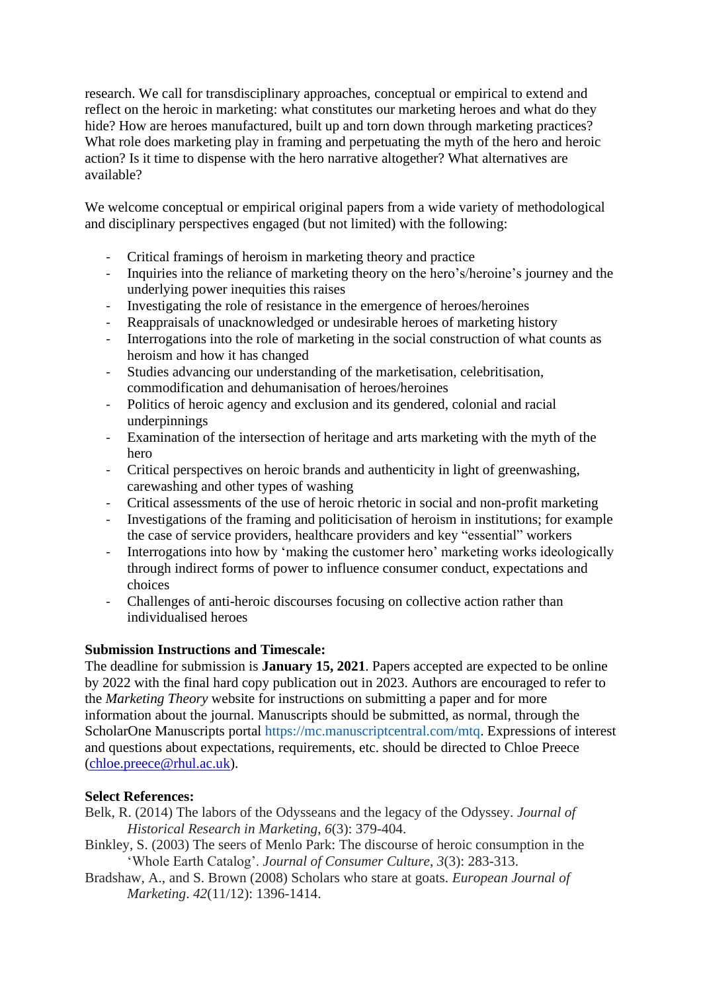research. We call for transdisciplinary approaches, conceptual or empirical to extend and reflect on the heroic in marketing: what constitutes our marketing heroes and what do they hide? How are heroes manufactured, built up and torn down through marketing practices? What role does marketing play in framing and perpetuating the myth of the hero and heroic action? Is it time to dispense with the hero narrative altogether? What alternatives are available?

We welcome conceptual or empirical original papers from a wide variety of methodological and disciplinary perspectives engaged (but not limited) with the following:

- Critical framings of heroism in marketing theory and practice
- Inquiries into the reliance of marketing theory on the hero's/heroine's journey and the underlying power inequities this raises
- Investigating the role of resistance in the emergence of heroes/heroines
- Reappraisals of unacknowledged or undesirable heroes of marketing history
- Interrogations into the role of marketing in the social construction of what counts as heroism and how it has changed
- Studies advancing our understanding of the marketisation, celebritisation, commodification and dehumanisation of heroes/heroines
- Politics of heroic agency and exclusion and its gendered, colonial and racial underpinnings
- Examination of the intersection of heritage and arts marketing with the myth of the hero
- Critical perspectives on heroic brands and authenticity in light of greenwashing, carewashing and other types of washing
- Critical assessments of the use of heroic rhetoric in social and non-profit marketing
- Investigations of the framing and politicisation of heroism in institutions; for example the case of service providers, healthcare providers and key "essential" workers
- Interrogations into how by 'making the customer hero' marketing works ideologically through indirect forms of power to influence consumer conduct, expectations and choices
- Challenges of anti-heroic discourses focusing on collective action rather than individualised heroes

## **Submission Instructions and Timescale:**

The deadline for submission is **January 15, 2021**. Papers accepted are expected to be online by 2022 with the final hard copy publication out in 2023. Authors are encouraged to refer to the *Marketing Theory* website for instructions on submitting a paper and for more information about the journal. Manuscripts should be submitted, as normal, through the ScholarOne Manuscripts portal https://mc.manuscriptcentral.com/mtq. Expressions of interest and questions about expectations, requirements, etc. should be directed to Chloe Preece [\(chloe.preece@rhul.ac.uk\)](mailto:chloe.preece@rhul.ac.uk).

## **Select References:**

- Belk, R. (2014) The labors of the Odysseans and the legacy of the Odyssey. *Journal of Historical Research in Marketing*, *6*(3): 379-404.
- Binkley, S. (2003) The seers of Menlo Park: The discourse of heroic consumption in the 'Whole Earth Catalog'. *Journal of Consumer Culture*, *3*(3): 283-313.
- Bradshaw, A., and S. Brown (2008) Scholars who stare at goats. *European Journal of Marketing*. *42*(11/12): 1396-1414.